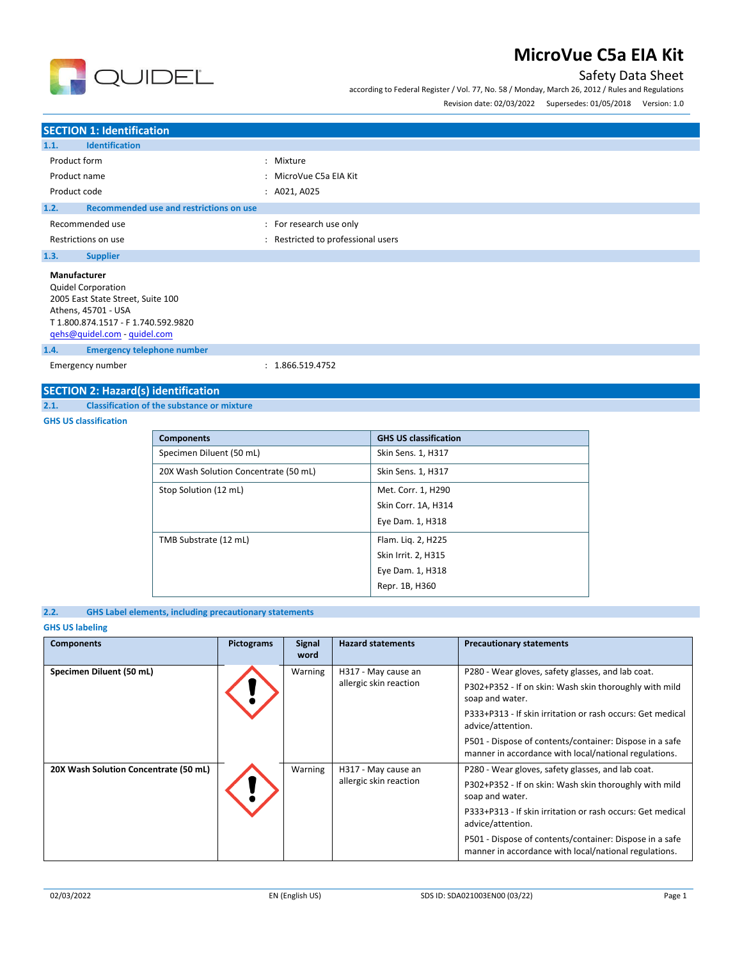

according to Federal Register / Vol. 77, No. 58 / Monday, March 26, 2012 / Rules and Regulations

Revision date: 02/03/2022 Supersedes: 01/05/2018 Version: 1.0

## **SECTION 1: Identification 1.1. Identification** Product form  $\qquad \qquad : \qquad$  Mixture Product name  $\qquad \qquad$ : MicroVue C5a EIA Kit Product code : A021, A025 **1.2. Recommended use and restrictions on use** Recommended use  $\blacksquare$ : For research use only Restrictions on use **interest in the COV** and Restricted to professional users **1.3. Supplier Manufacturer** Quidel Corporation 2005 East State Street, Suite 100 Athens, 45701 - USA T 1.800.874.1517 - F 1.740.592.9820

[qehs@quidel.com](mailto:qehs@quidel.com) - [quidel.com](http://quidel.com/)

**1.4. Emergency telephone number**

Emergency number : 1.866.519.4752

## **SECTION 2: Hazard(s) identification**

**2.1. Classification of the substance or mixture**

**QUIDEL** 

#### **GHS US classification**

| <b>Components</b>                     | <b>GHS US classification</b> |
|---------------------------------------|------------------------------|
| Specimen Diluent (50 mL)              | Skin Sens. 1, H317           |
| 20X Wash Solution Concentrate (50 mL) | Skin Sens. 1, H317           |
| Stop Solution (12 mL)                 | Met. Corr. 1, H290           |
|                                       | Skin Corr. 1A, H314          |
|                                       | Eye Dam. 1, H318             |
| TMB Substrate (12 mL)                 | Flam. Lig. 2, H225           |
|                                       | Skin Irrit. 2, H315          |
|                                       | Eye Dam. 1, H318             |
|                                       | Repr. 1B, H360               |

### **2.2. GHS Label elements, including precautionary statements**

### **GHS US labeling**

| <b>Components</b>                     | Pictograms | <b>Signal</b><br>word                                                                                            | <b>Hazard statements</b>                      | <b>Precautionary statements</b>                                                                                                                                                                                   |
|---------------------------------------|------------|------------------------------------------------------------------------------------------------------------------|-----------------------------------------------|-------------------------------------------------------------------------------------------------------------------------------------------------------------------------------------------------------------------|
| Specimen Diluent (50 mL)              |            | Warning                                                                                                          | H317 - May cause an<br>allergic skin reaction | P280 - Wear gloves, safety glasses, and lab coat.<br>P302+P352 - If on skin: Wash skin thoroughly with mild<br>soap and water.<br>P333+P313 - If skin irritation or rash occurs: Get medical<br>advice/attention. |
|                                       |            | P501 - Dispose of contents/container: Dispose in a safe<br>manner in accordance with local/national regulations. |                                               |                                                                                                                                                                                                                   |
| 20X Wash Solution Concentrate (50 mL) |            | Warning                                                                                                          | H317 - May cause an<br>allergic skin reaction | P280 - Wear gloves, safety glasses, and lab coat.<br>P302+P352 - If on skin: Wash skin thoroughly with mild<br>soap and water.<br>P333+P313 - If skin irritation or rash occurs: Get medical<br>advice/attention. |
|                                       |            |                                                                                                                  |                                               | P501 - Dispose of contents/container: Dispose in a safe<br>manner in accordance with local/national regulations.                                                                                                  |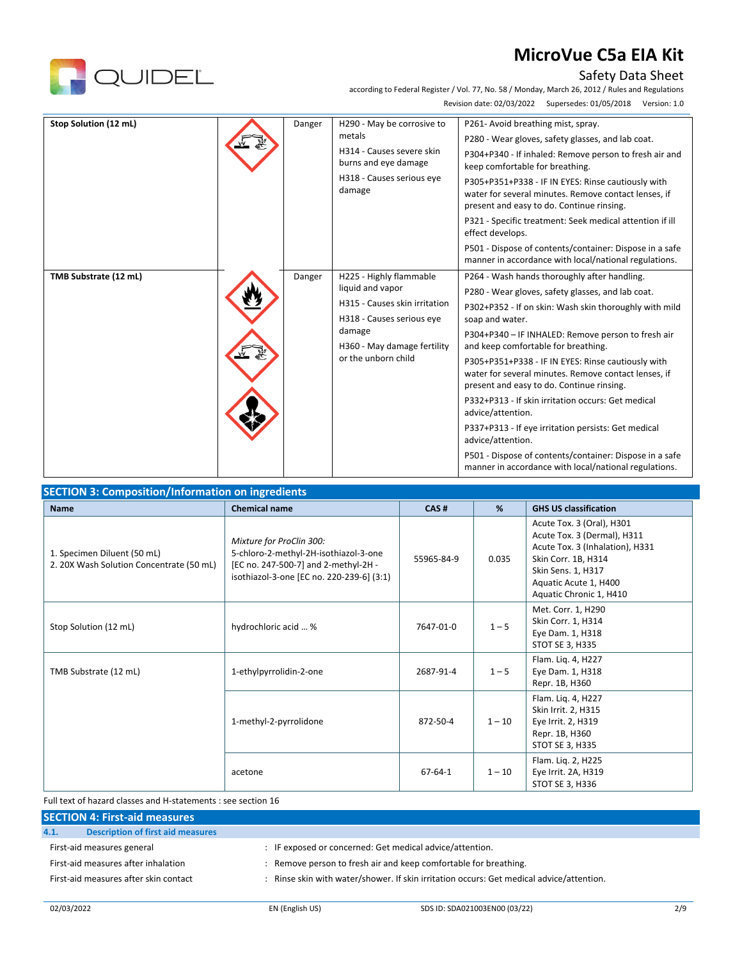

## Safety Data Sheet

according to Federal Register / Vol. 77, No. 58 / Monday, March 26, 2012 / Rules and Regulations Revision date: 02/03/2022 Supersedes: 01/05/2018 Version: 1.0

| Stop Solution (12 mL) | Danger | H290 - May be corrosive to<br>metals<br>H314 - Causes severe skin<br>burns and eye damage<br>H318 - Causes serious eye<br>damage                                          | P261- Avoid breathing mist, spray.<br>P280 - Wear gloves, safety glasses, and lab coat.<br>P304+P340 - If inhaled: Remove person to fresh air and<br>keep comfortable for breathing.<br>P305+P351+P338 - IF IN EYES: Rinse cautiously with<br>water for several minutes. Remove contact lenses, if<br>present and easy to do. Continue rinsing.<br>P321 - Specific treatment: Seek medical attention if ill<br>effect develops.<br>P501 - Dispose of contents/container: Dispose in a safe<br>manner in accordance with local/national regulations.                                                                                                                                                               |
|-----------------------|--------|---------------------------------------------------------------------------------------------------------------------------------------------------------------------------|-------------------------------------------------------------------------------------------------------------------------------------------------------------------------------------------------------------------------------------------------------------------------------------------------------------------------------------------------------------------------------------------------------------------------------------------------------------------------------------------------------------------------------------------------------------------------------------------------------------------------------------------------------------------------------------------------------------------|
| TMB Substrate (12 mL) | Danger | H225 - Highly flammable<br>liquid and vapor<br>H315 - Causes skin irritation<br>H318 - Causes serious eye<br>damage<br>H360 - May damage fertility<br>or the unborn child | P264 - Wash hands thoroughly after handling.<br>P280 - Wear gloves, safety glasses, and lab coat.<br>P302+P352 - If on skin: Wash skin thoroughly with mild<br>soap and water.<br>P304+P340 - IF INHALED: Remove person to fresh air<br>and keep comfortable for breathing.<br>P305+P351+P338 - IF IN EYES: Rinse cautiously with<br>water for several minutes. Remove contact lenses, if<br>present and easy to do. Continue rinsing.<br>P332+P313 - If skin irritation occurs: Get medical<br>advice/attention.<br>P337+P313 - If eye irritation persists: Get medical<br>advice/attention.<br>P501 - Dispose of contents/container: Dispose in a safe<br>manner in accordance with local/national regulations. |

| <b>Name</b>                                                             | <b>Chemical name</b>                                                                                                                                   | CAS#          | %        | <b>GHS US classification</b>                                                                                                                                                                 |
|-------------------------------------------------------------------------|--------------------------------------------------------------------------------------------------------------------------------------------------------|---------------|----------|----------------------------------------------------------------------------------------------------------------------------------------------------------------------------------------------|
| 1. Specimen Diluent (50 mL)<br>2. 20X Wash Solution Concentrate (50 mL) | Mixture for ProClin 300:<br>5-chloro-2-methyl-2H-isothiazol-3-one<br>[EC no. 247-500-7] and 2-methyl-2H -<br>isothiazol-3-one [EC no. 220-239-6] (3:1) | 55965-84-9    | 0.035    | Acute Tox. 3 (Oral), H301<br>Acute Tox. 3 (Dermal), H311<br>Acute Tox. 3 (Inhalation), H331<br>Skin Corr. 1B, H314<br>Skin Sens. 1, H317<br>Aquatic Acute 1, H400<br>Aquatic Chronic 1, H410 |
| Stop Solution (12 mL)                                                   | hydrochloric acid  %                                                                                                                                   | 7647-01-0     | $1 - 5$  | Met. Corr. 1, H290<br>Skin Corr. 1, H314<br>Eye Dam. 1, H318<br>STOT SE 3, H335                                                                                                              |
| TMB Substrate (12 mL)                                                   | 1-ethylpyrrolidin-2-one                                                                                                                                | 2687-91-4     | $1 - 5$  | Flam. Liq. 4, H227<br>Eye Dam. 1, H318<br>Repr. 1B, H360                                                                                                                                     |
|                                                                         | 1-methyl-2-pyrrolidone                                                                                                                                 | 872-50-4      | $1 - 10$ | Flam. Lig. 4, H227<br>Skin Irrit. 2, H315<br>Eye Irrit. 2, H319<br>Repr. 1B, H360<br>STOT SE 3, H335                                                                                         |
|                                                                         | acetone                                                                                                                                                | $67 - 64 - 1$ | $1 - 10$ | Flam. Liq. 2, H225<br>Eye Irrit. 2A, H319<br>STOT SE 3, H336                                                                                                                                 |

Full text of hazard classes and H-statements : see section 16

|      | <b>SECTION 4: First-aid measures</b>     |                                                                                          |
|------|------------------------------------------|------------------------------------------------------------------------------------------|
| 4.1. | <b>Description of first aid measures</b> |                                                                                          |
|      | First-aid measures general               | : IF exposed or concerned: Get medical advice/attention.                                 |
|      | First-aid measures after inhalation      | : Remove person to fresh air and keep comfortable for breathing.                         |
|      | First-aid measures after skin contact    | : Rinse skin with water/shower. If skin irritation occurs: Get medical advice/attention. |
|      |                                          |                                                                                          |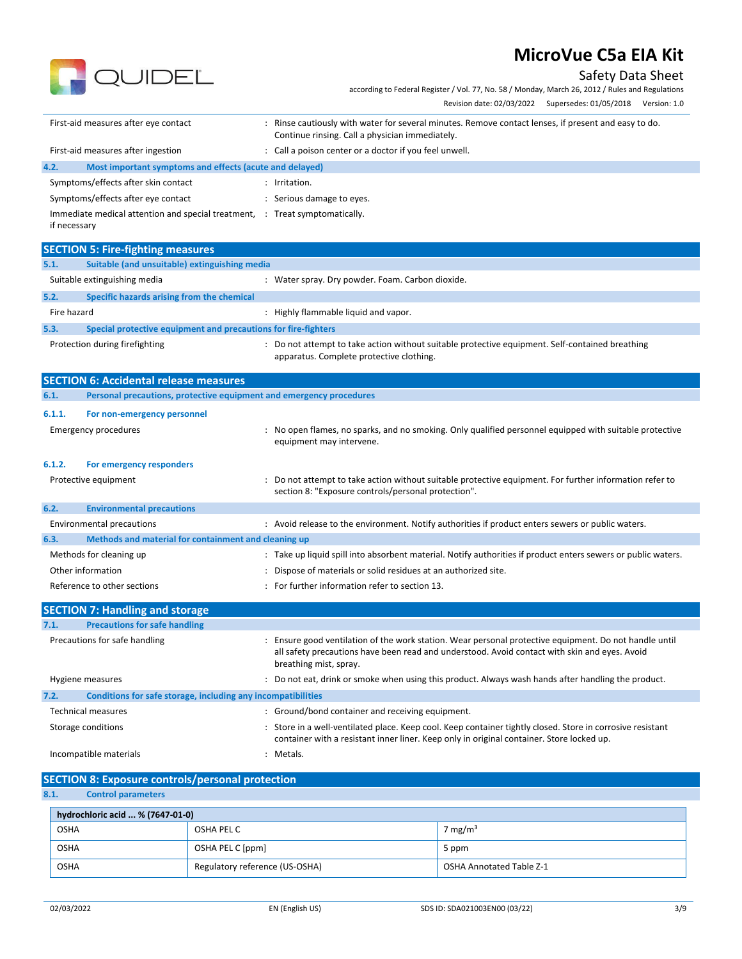

**R** QUIDEL

according to Federal Register / Vol. 77, No. 58 / Monday, March 26, 2012 / Rules and Regulations

|                                                                                             | Revision date: 02/03/2022 Supersedes: 01/05/2018 Version: 1.0                                                                                                                                                                   |
|---------------------------------------------------------------------------------------------|---------------------------------------------------------------------------------------------------------------------------------------------------------------------------------------------------------------------------------|
| First-aid measures after eye contact                                                        | : Rinse cautiously with water for several minutes. Remove contact lenses, if present and easy to do.<br>Continue rinsing. Call a physician immediately.                                                                         |
| First-aid measures after ingestion                                                          | : Call a poison center or a doctor if you feel unwell.                                                                                                                                                                          |
| 4.2.<br>Most important symptoms and effects (acute and delayed)                             |                                                                                                                                                                                                                                 |
| Symptoms/effects after skin contact                                                         | : Irritation.                                                                                                                                                                                                                   |
| Symptoms/effects after eye contact                                                          | : Serious damage to eyes.                                                                                                                                                                                                       |
| Immediate medical attention and special treatment, : Treat symptomatically.<br>if necessary |                                                                                                                                                                                                                                 |
| <b>SECTION 5: Fire-fighting measures</b>                                                    |                                                                                                                                                                                                                                 |
| 5.1.<br>Suitable (and unsuitable) extinguishing media                                       |                                                                                                                                                                                                                                 |
| Suitable extinguishing media                                                                | : Water spray. Dry powder. Foam. Carbon dioxide.                                                                                                                                                                                |
| 5.2.<br>Specific hazards arising from the chemical                                          |                                                                                                                                                                                                                                 |
| Fire hazard                                                                                 | : Highly flammable liquid and vapor.                                                                                                                                                                                            |
| 5.3.<br>Special protective equipment and precautions for fire-fighters                      |                                                                                                                                                                                                                                 |
| Protection during firefighting                                                              | : Do not attempt to take action without suitable protective equipment. Self-contained breathing<br>apparatus. Complete protective clothing.                                                                                     |
| <b>SECTION 6: Accidental release measures</b>                                               |                                                                                                                                                                                                                                 |
| 6.1.<br>Personal precautions, protective equipment and emergency procedures                 |                                                                                                                                                                                                                                 |
| 6.1.1.<br>For non-emergency personnel                                                       |                                                                                                                                                                                                                                 |
| <b>Emergency procedures</b>                                                                 | No open flames, no sparks, and no smoking. Only qualified personnel equipped with suitable protective<br>equipment may intervene.                                                                                               |
| 6.1.2.<br>For emergency responders                                                          |                                                                                                                                                                                                                                 |
| Protective equipment                                                                        | Do not attempt to take action without suitable protective equipment. For further information refer to<br>section 8: "Exposure controls/personal protection".                                                                    |
| 6.2.<br><b>Environmental precautions</b>                                                    |                                                                                                                                                                                                                                 |
| <b>Environmental precautions</b>                                                            | : Avoid release to the environment. Notify authorities if product enters sewers or public waters.                                                                                                                               |
| 6.3.<br>Methods and material for containment and cleaning up                                |                                                                                                                                                                                                                                 |
| Methods for cleaning up                                                                     | : Take up liquid spill into absorbent material. Notify authorities if product enters sewers or public waters.                                                                                                                   |
| Other information                                                                           | : Dispose of materials or solid residues at an authorized site.                                                                                                                                                                 |
| Reference to other sections                                                                 | : For further information refer to section 13.                                                                                                                                                                                  |
| <b>SECTION 7: Handling and storage</b>                                                      |                                                                                                                                                                                                                                 |
| <b>Precautions for safe handling</b><br>7.1.                                                |                                                                                                                                                                                                                                 |
| Precautions for safe handling                                                               | Ensure good ventilation of the work station. Wear personal protective equipment. Do not handle until<br>all safety precautions have been read and understood. Avoid contact with skin and eyes. Avoid<br>breathing mist, spray. |
| Hygiene measures                                                                            | : Do not eat, drink or smoke when using this product. Always wash hands after handling the product.                                                                                                                             |
| Conditions for safe storage, including any incompatibilities<br>7.2.                        |                                                                                                                                                                                                                                 |
| <b>Technical measures</b>                                                                   | : Ground/bond container and receiving equipment.                                                                                                                                                                                |
| Storage conditions                                                                          | : Store in a well-ventilated place. Keep cool. Keep container tightly closed. Store in corrosive resistant<br>container with a resistant inner liner. Keep only in original container. Store locked up.                         |
| Incompatible materials                                                                      | : Metals.                                                                                                                                                                                                                       |

# **SECTION 8: Exposure controls/personal protection**<br>8.1. Control parameters

**8.1. Control parameters**

| hydrochloric acid  % (7647-01-0) |                                |                          |
|----------------------------------|--------------------------------|--------------------------|
| <b>OSHA</b>                      | OSHA PEL C                     | 7 mg/m <sup>3</sup>      |
| OSHA                             | OSHA PEL C [ppm]               | 5 ppm                    |
| OSHA                             | Regulatory reference (US-OSHA) | OSHA Annotated Table Z-1 |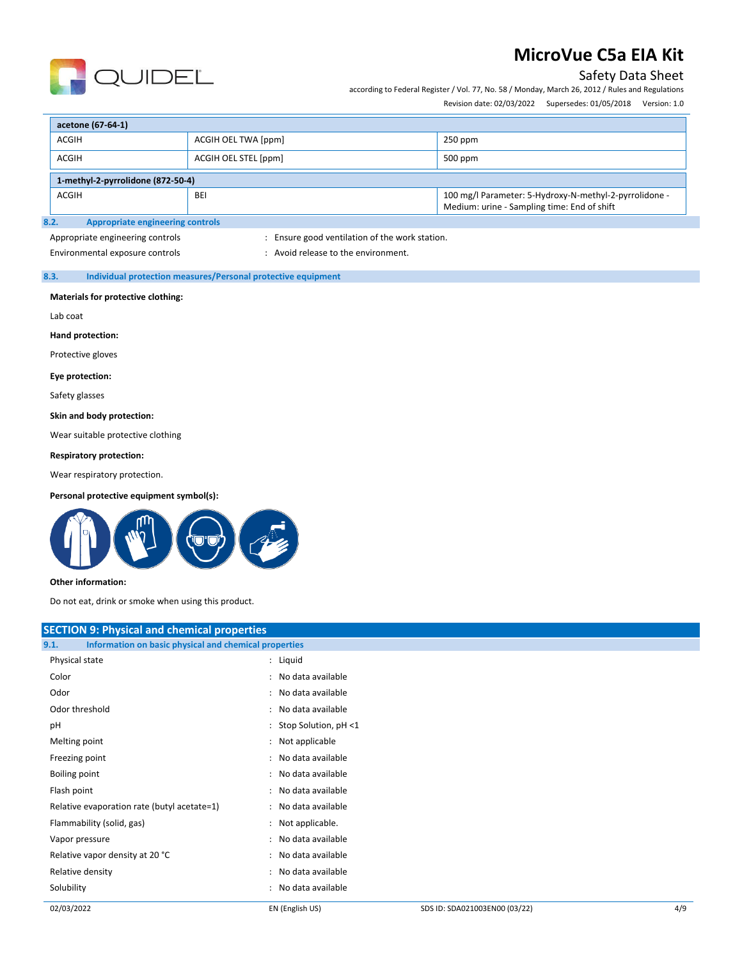

## Safety Data Sheet

according to Federal Register / Vol. 77, No. 58 / Monday, March 26, 2012 / Rules and Regulations

Revision date: 02/03/2022 Supersedes: 01/05/2018 Version: 1.0

| acetone (67-64-1)                                                                                                                   |                      |           |  |
|-------------------------------------------------------------------------------------------------------------------------------------|----------------------|-----------|--|
| ACGIH                                                                                                                               | ACGIH OEL TWA [ppm]  | $250$ ppm |  |
| ACGIH                                                                                                                               | ACGIH OEL STEL [ppm] | 500 ppm   |  |
| 1-methyl-2-pyrrolidone (872-50-4)                                                                                                   |                      |           |  |
| 100 mg/l Parameter: 5-Hydroxy-N-methyl-2-pyrrolidone -<br><b>ACGIH</b><br><b>BEI</b><br>Medium: urine - Sampling time: End of shift |                      |           |  |
| Annropriate engineering controls<br>R. 2.                                                                                           |                      |           |  |

### **8.2. Appropriate engineering controls**

Appropriate engineering controls in the station of the work station.

Environmental exposure controls  $\cdot$  : Avoid release to the environment.

### **8.3. Individual protection measures/Personal protective equipment**

#### **Materials for protective clothing:**

Lab coat

**Hand protection:**

Protective gloves

#### **Eye protection:**

Safety glasses

### **Skin and body protection:**

Wear suitable protective clothing

### **Respiratory protection:**

Wear respiratory protection.

#### **Personal protective equipment symbol(s):**



#### **Other information:**

Do not eat, drink or smoke when using this product.

| <b>SECTION 9: Physical and chemical properties</b>            |                        |  |
|---------------------------------------------------------------|------------------------|--|
| Information on basic physical and chemical properties<br>9.1. |                        |  |
| Physical state                                                | : Liquid               |  |
| Color                                                         | : No data available    |  |
| Odor                                                          | : No data available    |  |
| Odor threshold                                                | : No data available    |  |
| pH                                                            | : Stop Solution, pH <1 |  |
| Melting point                                                 | : Not applicable       |  |
| Freezing point                                                | : No data available    |  |
| Boiling point                                                 | : No data available    |  |
| Flash point                                                   | : No data available    |  |
| Relative evaporation rate (butyl acetate=1)                   | : No data available    |  |
| Flammability (solid, gas)                                     | : Not applicable.      |  |
| Vapor pressure                                                | : No data available    |  |
| Relative vapor density at 20 °C                               | : No data available    |  |
| Relative density                                              | : No data available    |  |
| Solubility                                                    | : No data available    |  |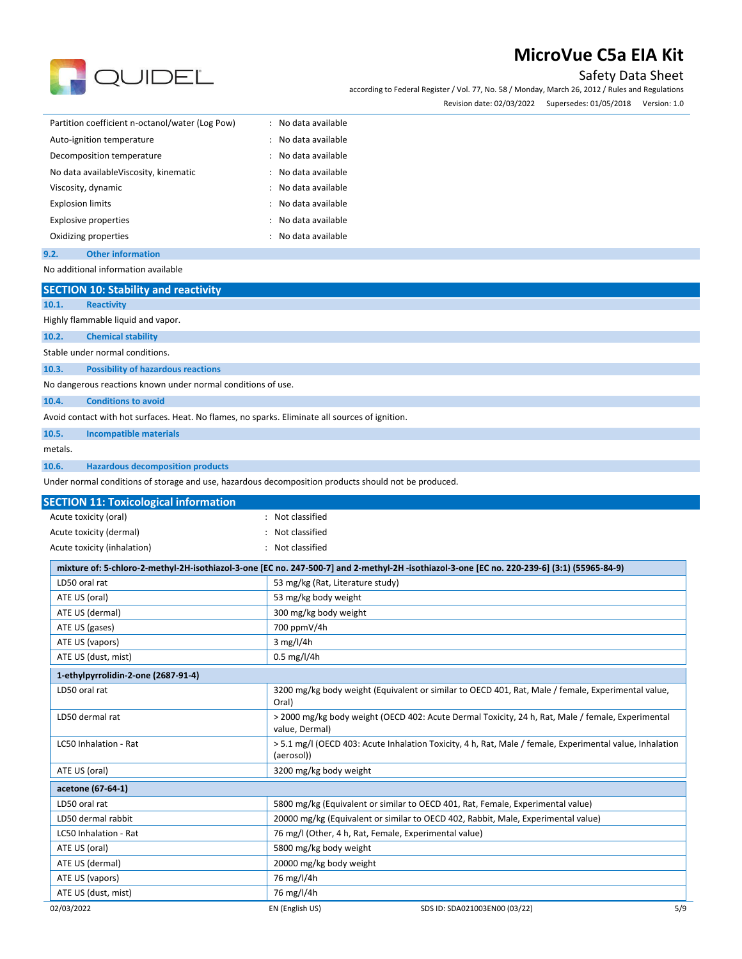

Safety Data Sheet

according to Federal Register / Vol. 77, No. 58 / Monday, March 26, 2012 / Rules and Regulations Revision date: 02/03/2022 Supersedes: 01/05/2018 Version: 1.0

| Revision date: 02/03/2022 | Supersedes: 01/05/2018 | version: 1.0 |
|---------------------------|------------------------|--------------|
|                           |                        |              |

| Partition coefficient n-octanol/water (Log Pow) | : No data available    |
|-------------------------------------------------|------------------------|
| Auto-ignition temperature                       | No data available<br>÷ |
| Decomposition temperature                       | : No data available    |
| No data available Viscosity, kinematic          | : No data available    |
| Viscosity, dynamic                              | No data available      |
| <b>Explosion limits</b>                         | : No data available    |
| <b>Explosive properties</b>                     | : No data available    |
| Oxidizing properties                            | : No data available    |
|                                                 |                        |

**9.2. Other information** No additional information available

02/03/2022 EN (English US) SDS ID: SDA021003EN00 (03/22) 5/9 **SECTION 10: Stability and reactivity 10.1. Reactivity** Highly flammable liquid and vapor. **10.2. Chemical stability** Stable under normal conditions. **10.3. Possibility of hazardous reactions** No dangerous reactions known under normal conditions of use. **10.4. Conditions to avoid** Avoid contact with hot surfaces. Heat. No flames, no sparks. Eliminate all sources of ignition. **10.5. Incompatible materials** metals. **10.6. Hazardous decomposition products** Under normal conditions of storage and use, hazardous decomposition products should not be produced. **SECTION 11: Toxicological information** Acute toxicity (oral) **Example 20** and the control of the Not classified Acute toxicity (dermal) **Acute toxicity** (dermal) **Not** classified Acute toxicity (inhalation) : Not classified **mixture of: 5-chloro-2-methyl-2H-isothiazol-3-one [EC no. 247-500-7] and 2-methyl-2H -isothiazol-3-one [EC no. 220-239-6] (3:1) (55965-84-9)** LD50 oral rat **1200 cm 2010 cm 2010 cm 33 mg/kg (Rat, Literature study)** ATE US (oral) and the state of the state of the S3 mg/kg body weight ATE US (dermal) and the state of the state of the state of 300 mg/kg body weight ATE US (gases) 200 ppmV/4h ATE US (vapors) 3 mg/l/4h ATE US (dust, mist) and a control of the US (dust, mist) and a control of the US (dust, mist) **1-ethylpyrrolidin-2-one (2687-91-4)** LD50 oral rat 13200 mg/kg body weight (Equivalent or similar to OECD 401, Rat, Male / female, Experimental value, Oral) LD50 dermal rat experimental > 2000 mg/kg body weight (OECD 402: Acute Dermal Toxicity, 24 h, Rat, Male / female, Experimental value, Dermal) LC50 Inhalation - Rat **1980 12:30 Teleconomia 12:30 State Inhalation** Toxicity, 4 h, Rat, Male / female, Experimental value, Inhalation (aerosol)) ATE US (oral) **ATE US** (oral) **3200** mg/kg body weight **acetone (67-64-1)** LD50 oral rat the state of the 5800 mg/kg (Equivalent or similar to OECD 401, Rat, Female, Experimental value) LD50 dermal rabbit 20000 mg/kg (Equivalent or similar to OECD 402, Rabbit, Male, Experimental value) LC50 Inhalation - Rat 1990 10 mm and 100 mm and 100 mm and 100 mm and 100 mm and 100 mm and 100 mm and 100 mm a ATE US (oral) and the state of the state of the S800 mg/kg body weight ATE US (dermal) 20000 mg/kg body weight ATE US (vapors) 26 mg/l/4h ATE US (dust, mist) 76 mg/l/4h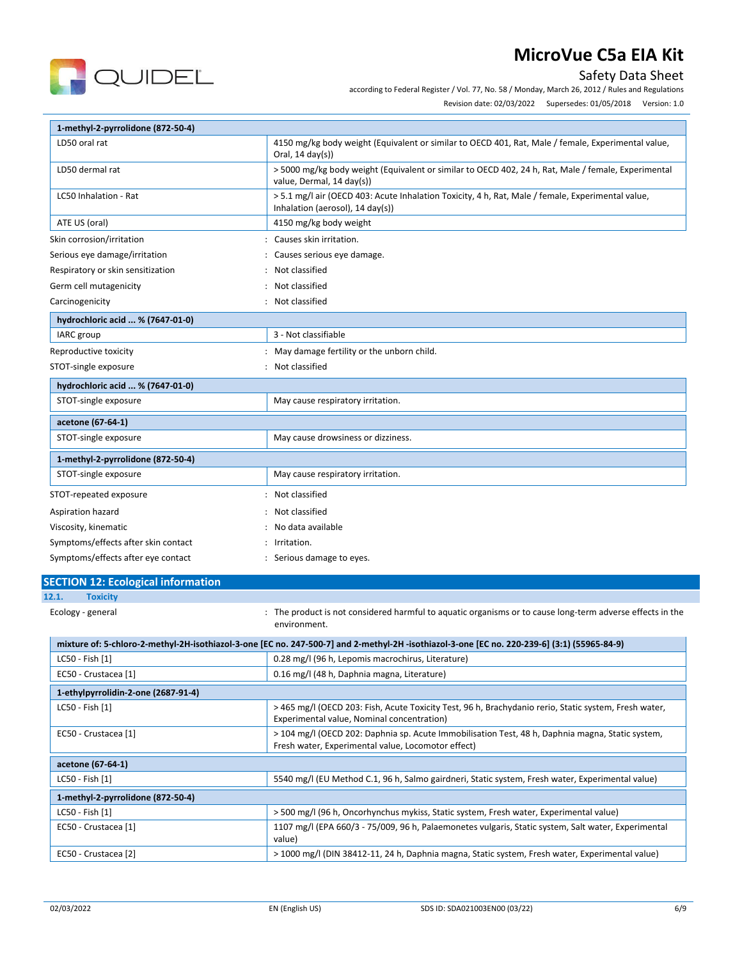

Safety Data Sheet

according to Federal Register / Vol. 77, No. 58 / Monday, March 26, 2012 / Rules and Regulations

Revision date: 02/03/2022 Supersedes: 01/05/2018 Version: 1.0

| 1-methyl-2-pyrrolidone (872-50-4)         |                                                                                                                                                        |
|-------------------------------------------|--------------------------------------------------------------------------------------------------------------------------------------------------------|
| LD50 oral rat                             | 4150 mg/kg body weight (Equivalent or similar to OECD 401, Rat, Male / female, Experimental value,<br>Oral, $14 \text{ day}(s)$                        |
| LD50 dermal rat                           | > 5000 mg/kg body weight (Equivalent or similar to OECD 402, 24 h, Rat, Male / female, Experimental<br>value, Dermal, 14 day(s))                       |
| LC50 Inhalation - Rat                     | > 5.1 mg/l air (OECD 403: Acute Inhalation Toxicity, 4 h, Rat, Male / female, Experimental value,<br>Inhalation (aerosol), $14 \text{ day(s)}$ )       |
| ATE US (oral)                             | 4150 mg/kg body weight                                                                                                                                 |
| Skin corrosion/irritation                 | : Causes skin irritation.                                                                                                                              |
| Serious eye damage/irritation             | : Causes serious eye damage.                                                                                                                           |
| Respiratory or skin sensitization         | Not classified                                                                                                                                         |
| Germ cell mutagenicity                    | Not classified                                                                                                                                         |
| Carcinogenicity                           | : Not classified                                                                                                                                       |
| hydrochloric acid  % (7647-01-0)          |                                                                                                                                                        |
| IARC group                                | 3 - Not classifiable                                                                                                                                   |
| Reproductive toxicity                     | : May damage fertility or the unborn child.                                                                                                            |
| STOT-single exposure                      | : Not classified                                                                                                                                       |
| hydrochloric acid  % (7647-01-0)          |                                                                                                                                                        |
| STOT-single exposure                      | May cause respiratory irritation.                                                                                                                      |
| acetone (67-64-1)                         |                                                                                                                                                        |
| STOT-single exposure                      | May cause drowsiness or dizziness.                                                                                                                     |
| 1-methyl-2-pyrrolidone (872-50-4)         |                                                                                                                                                        |
| STOT-single exposure                      | May cause respiratory irritation.                                                                                                                      |
| STOT-repeated exposure                    | Not classified                                                                                                                                         |
| Aspiration hazard                         | Not classified                                                                                                                                         |
| Viscosity, kinematic                      | No data available                                                                                                                                      |
| Symptoms/effects after skin contact       | Irritation.                                                                                                                                            |
| Symptoms/effects after eye contact        | : Serious damage to eyes.                                                                                                                              |
| <b>SECTION 12: Ecological information</b> |                                                                                                                                                        |
| 12.1.<br><b>Toxicity</b>                  |                                                                                                                                                        |
| Ecology - general                         | The product is not considered harmful to aquatic organisms or to cause long-term adverse effects in the<br>environment.                                |
|                                           | mixture of: 5-chloro-2-methyl-2H-isothiazol-3-one [EC no. 247-500-7] and 2-methyl-2H -isothiazol-3-one [EC no. 220-239-6] (3:1) (55965-84-9)           |
| LC50 - Fish [1]                           | 0.28 mg/l (96 h, Lepomis macrochirus, Literature)                                                                                                      |
| EC50 - Crustacea [1]                      | 0.16 mg/l (48 h, Daphnia magna, Literature)                                                                                                            |
| 1-ethylpyrrolidin-2-one (2687-91-4)       |                                                                                                                                                        |
| LC50 - Fish [1]                           | > 465 mg/l (OECD 203: Fish, Acute Toxicity Test, 96 h, Brachydanio rerio, Static system, Fresh water,<br>Experimental value, Nominal concentration)    |
| EC50 - Crustacea [1]                      | > 104 mg/l (OECD 202: Daphnia sp. Acute Immobilisation Test, 48 h, Daphnia magna, Static system,<br>Fresh water, Experimental value, Locomotor effect) |
| acetone (67-64-1)                         |                                                                                                                                                        |
| LC50 - Fish [1]                           | 5540 mg/l (EU Method C.1, 96 h, Salmo gairdneri, Static system, Fresh water, Experimental value)                                                       |
| 1-methyl-2-pyrrolidone (872-50-4)         |                                                                                                                                                        |
| LC50 - Fish [1]                           | > 500 mg/l (96 h, Oncorhynchus mykiss, Static system, Fresh water, Experimental value)                                                                 |
| EC50 - Crustacea [1]                      | 1107 mg/l (EPA 660/3 - 75/009, 96 h, Palaemonetes vulgaris, Static system, Salt water, Experimental<br>value)                                          |
| EC50 - Crustacea [2]                      | > 1000 mg/l (DIN 38412-11, 24 h, Daphnia magna, Static system, Fresh water, Experimental value)                                                        |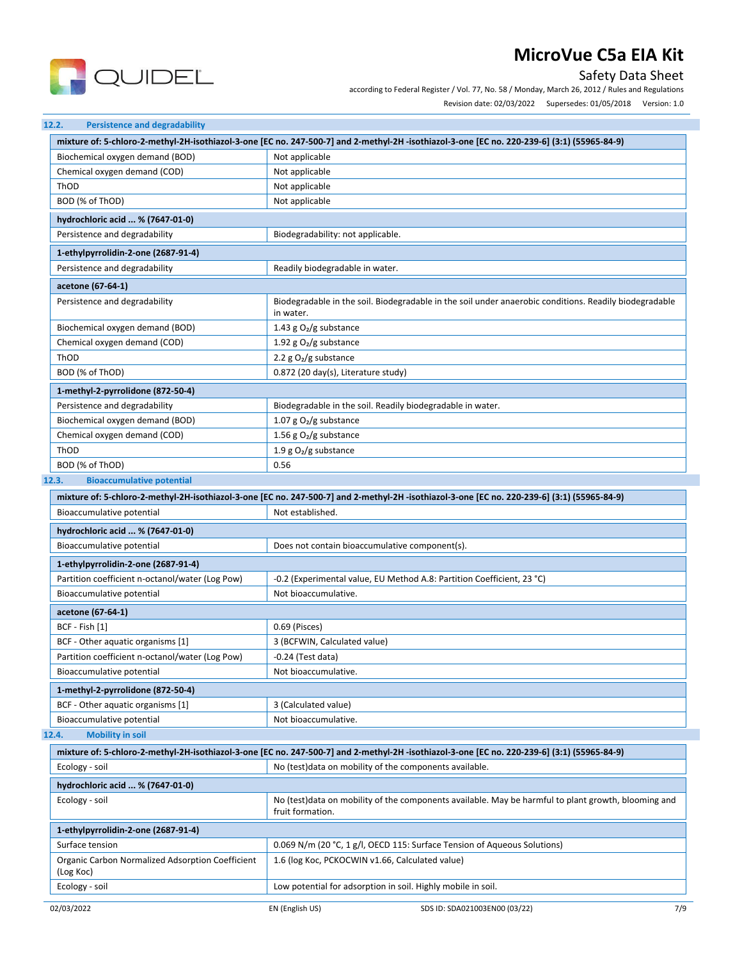

Safety Data Sheet according to Federal Register / Vol. 77, No. 58 / Monday, March 26, 2012 / Rules and Regulations

|  | Revision date: 02/03/2022 |  | Supersedes: 01/05/2018    Version: 1.0 |
|--|---------------------------|--|----------------------------------------|
|  |                           |  |                                        |

|                                                               | mixture of: 5-chloro-2-methyl-2H-isothiazol-3-one [EC no. 247-500-7] and 2-methyl-2H-isothiazol-3-one [EC no. 220-239-6] (3:1) (55965-84-9) |  |  |
|---------------------------------------------------------------|---------------------------------------------------------------------------------------------------------------------------------------------|--|--|
| Biochemical oxygen demand (BOD)                               | Not applicable                                                                                                                              |  |  |
| Chemical oxygen demand (COD)                                  | Not applicable                                                                                                                              |  |  |
| ThOD                                                          | Not applicable                                                                                                                              |  |  |
| BOD (% of ThOD)                                               | Not applicable                                                                                                                              |  |  |
| hydrochloric acid  % (7647-01-0)                              |                                                                                                                                             |  |  |
| Persistence and degradability                                 | Biodegradability: not applicable.                                                                                                           |  |  |
| 1-ethylpyrrolidin-2-one (2687-91-4)                           |                                                                                                                                             |  |  |
| Persistence and degradability                                 | Readily biodegradable in water.                                                                                                             |  |  |
| acetone (67-64-1)                                             |                                                                                                                                             |  |  |
| Persistence and degradability                                 | Biodegradable in the soil. Biodegradable in the soil under anaerobic conditions. Readily biodegradable<br>in water.                         |  |  |
| Biochemical oxygen demand (BOD)                               | 1.43 g $O_2/g$ substance                                                                                                                    |  |  |
| Chemical oxygen demand (COD)                                  | 1.92 g $O_2/g$ substance                                                                                                                    |  |  |
| ThOD                                                          | 2.2 $g O2/g$ substance                                                                                                                      |  |  |
| BOD (% of ThOD)                                               | 0.872 (20 day(s), Literature study)                                                                                                         |  |  |
| 1-methyl-2-pyrrolidone (872-50-4)                             |                                                                                                                                             |  |  |
| Persistence and degradability                                 | Biodegradable in the soil. Readily biodegradable in water.                                                                                  |  |  |
| Biochemical oxygen demand (BOD)                               | 1.07 g $O_2/g$ substance                                                                                                                    |  |  |
| Chemical oxygen demand (COD)                                  | 1.56 g $O_2/g$ substance                                                                                                                    |  |  |
| ThOD                                                          | 1.9 g $O_2/g$ substance                                                                                                                     |  |  |
| BOD (% of ThOD)                                               | 0.56                                                                                                                                        |  |  |
| 12.3.<br><b>Bioaccumulative potential</b>                     |                                                                                                                                             |  |  |
|                                                               | mixture of: 5-chloro-2-methyl-2H-isothiazol-3-one [EC no. 247-500-7] and 2-methyl-2H-isothiazol-3-one [EC no. 220-239-6] (3:1) (55965-84-9) |  |  |
| Bioaccumulative potential                                     | Not established.                                                                                                                            |  |  |
| hydrochloric acid  % (7647-01-0)                              |                                                                                                                                             |  |  |
| Bioaccumulative potential                                     | Does not contain bioaccumulative component(s).                                                                                              |  |  |
| 1-ethylpyrrolidin-2-one (2687-91-4)                           |                                                                                                                                             |  |  |
| Partition coefficient n-octanol/water (Log Pow)               | -0.2 (Experimental value, EU Method A.8: Partition Coefficient, 23 °C)                                                                      |  |  |
| Bioaccumulative potential                                     | Not bioaccumulative.                                                                                                                        |  |  |
| acetone (67-64-1)                                             |                                                                                                                                             |  |  |
| BCF - Fish [1]                                                | 0.69 (Pisces)                                                                                                                               |  |  |
| BCF - Other aquatic organisms [1]                             | 3 (BCFWIN, Calculated value)                                                                                                                |  |  |
| Partition coefficient n-octanol/water (Log Pow)               | -0.24 (Test data)                                                                                                                           |  |  |
| Bioaccumulative potential                                     | Not bioaccumulative.                                                                                                                        |  |  |
| 1-methyl-2-pyrrolidone (872-50-4)                             |                                                                                                                                             |  |  |
| BCF - Other aquatic organisms [1]                             | 3 (Calculated value)                                                                                                                        |  |  |
| Bioaccumulative potential                                     | Not bioaccumulative.                                                                                                                        |  |  |
| <b>Mobility in soil</b><br>12.4.                              |                                                                                                                                             |  |  |
|                                                               | mixture of: 5-chloro-2-methyl-2H-isothiazol-3-one [EC no. 247-500-7] and 2-methyl-2H-isothiazol-3-one [EC no. 220-239-6] (3:1) (55965-84-9) |  |  |
| Ecology - soil                                                | No (test) data on mobility of the components available.                                                                                     |  |  |
| hydrochloric acid  % (7647-01-0)                              |                                                                                                                                             |  |  |
| Ecology - soil                                                | No (test) data on mobility of the components available. May be harmful to plant growth, blooming and<br>fruit formation.                    |  |  |
| 1-ethylpyrrolidin-2-one (2687-91-4)                           |                                                                                                                                             |  |  |
| Surface tension                                               | 0.069 N/m (20 °C, 1 g/l, OECD 115: Surface Tension of Aqueous Solutions)                                                                    |  |  |
| Organic Carbon Normalized Adsorption Coefficient<br>(Log Koc) | 1.6 (log Koc, PCKOCWIN v1.66, Calculated value)                                                                                             |  |  |
| Ecology - soil                                                |                                                                                                                                             |  |  |
|                                                               | Low potential for adsorption in soil. Highly mobile in soil.                                                                                |  |  |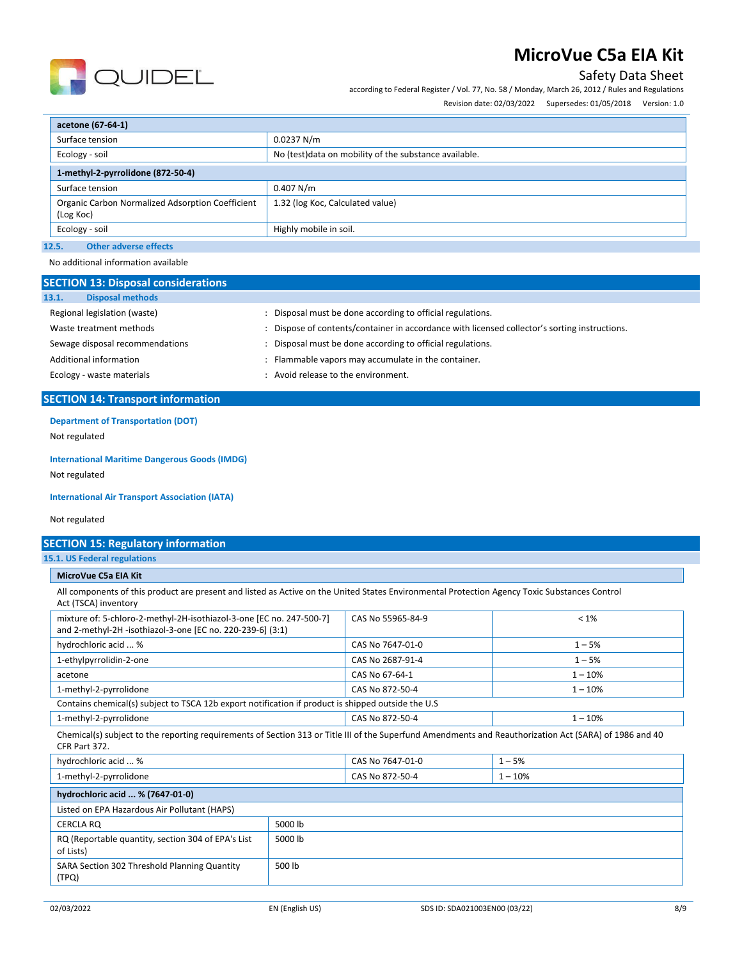

Safety Data Sheet

according to Federal Register / Vol. 77, No. 58 / Monday, March 26, 2012 / Rules and Regulations

Revision date: 02/03/2022 Supersedes: 01/05/2018 Version: 1.0

| acetone (67-64-1)                                             |                                                        |  |  |
|---------------------------------------------------------------|--------------------------------------------------------|--|--|
| Surface tension                                               | 0.0237 N/m                                             |  |  |
| Ecology - soil                                                | No (test) data on mobility of the substance available. |  |  |
| 1-methyl-2-pyrrolidone (872-50-4)                             |                                                        |  |  |
| Surface tension                                               | 0.407 N/m                                              |  |  |
| Organic Carbon Normalized Adsorption Coefficient<br>(Log Koc) | 1.32 (log Koc, Calculated value)                       |  |  |
| Ecology - soil                                                | Highly mobile in soil.                                 |  |  |
| <b>Other adverse effects</b><br>12.5.                         |                                                        |  |  |

No additional information available

| <b>SECTION 13: Disposal considerations</b> |                                                                                             |  |
|--------------------------------------------|---------------------------------------------------------------------------------------------|--|
| <b>Disposal methods</b><br>13.1.           |                                                                                             |  |
| Regional legislation (waste)               | Disposal must be done according to official regulations.                                    |  |
| Waste treatment methods                    | Dispose of contents/container in accordance with licensed collector's sorting instructions. |  |
| Sewage disposal recommendations            | Disposal must be done according to official regulations.                                    |  |
| Additional information                     | Flammable vapors may accumulate in the container.                                           |  |
| Ecology - waste materials                  | Avoid release to the environment.                                                           |  |

## **SECTION 14: Transport information**

## **Department of Transportation (DOT)**

Not regulated

### **International Maritime Dangerous Goods (IMDG)**

Not regulated

### **International Air Transport Association (IATA)**

Not regulated

## **SECTION 15: Regulatory information**

**15.1. US Federal regulations**

## **MicroVue C5a EIA Kit**

All components of this product are present and listed as Active on the United States Environmental Protection Agency Toxic Substances Control Act (TSCA) inventory

| mixture of: 5-chloro-2-methyl-2H-isothiazol-3-one [EC no. 247-500-7]<br>and 2-methyl-2H -isothiazol-3-one [EC no. 220-239-6] (3:1)                                       | CAS No 55965-84-9 | $< 1\%$    |
|--------------------------------------------------------------------------------------------------------------------------------------------------------------------------|-------------------|------------|
| hydrochloric acid  %                                                                                                                                                     | CAS No 7647-01-0  | $1 - 5%$   |
| 1-ethylpyrrolidin-2-one                                                                                                                                                  | CAS No 2687-91-4  | $1 - 5%$   |
| acetone                                                                                                                                                                  | CAS No 67-64-1    | $1 - 10%$  |
| 1-methyl-2-pyrrolidone                                                                                                                                                   | CAS No 872-50-4   | $1 - 10%$  |
| Contains chemical(s) subject to TSCA 12b export notification if product is shipped outside the U.S                                                                       |                   |            |
| 1-methyl-2-pyrrolidone                                                                                                                                                   | CAS No 872-50-4   | $1 - 10%$  |
| Chemical(s) subject to the reporting requirements of Section 313 or Title III of the Superfund Amendments and Reauthorization Act (SARA) of 1986 and 40<br>CFR Part 372. |                   |            |
| hydrochloric acid  %                                                                                                                                                     | CAS No 7647-01-0  | $1 - 5%$   |
| 1-mothyl-2-nyrrolidone                                                                                                                                                   | $CAS N0 872-50-4$ | $1 - 10\%$ |

| I-methyl-Z-pyrrolluone                                          |         | <b>CAS NO 872-30-4</b> | $1 - 10\%$ |
|-----------------------------------------------------------------|---------|------------------------|------------|
| hydrochloric acid  % (7647-01-0)                                |         |                        |            |
| Listed on EPA Hazardous Air Pollutant (HAPS)                    |         |                        |            |
| CERCLA RO                                                       | 5000 lb |                        |            |
| RQ (Reportable quantity, section 304 of EPA's List<br>of Lists) | 5000 lb |                        |            |
| SARA Section 302 Threshold Planning Quantity<br>(TPQ)           | 500 lb  |                        |            |